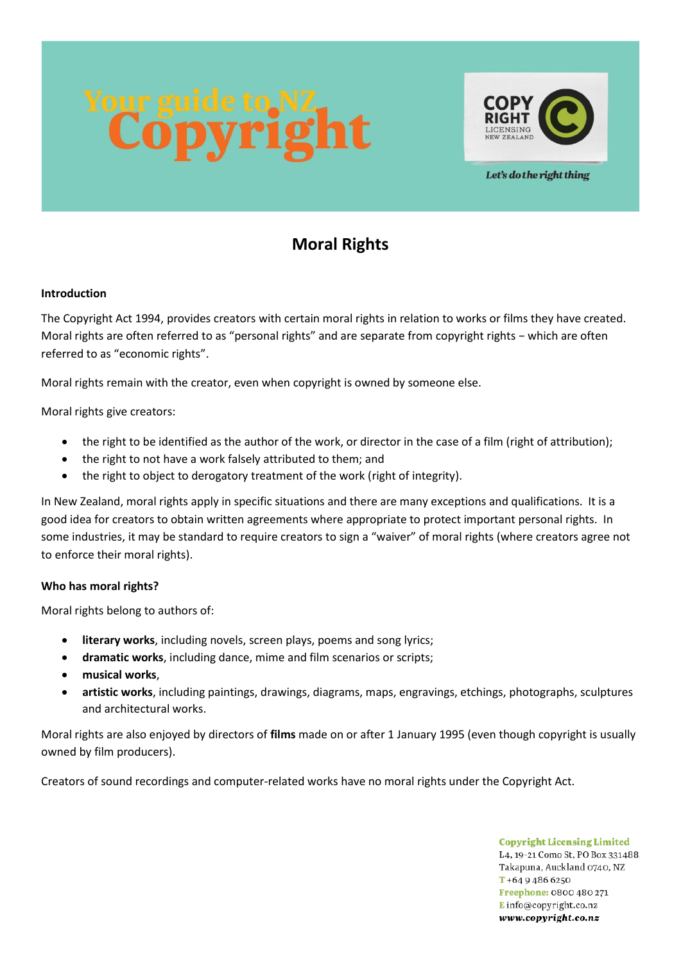

Let's do the right thing

# **Moral Rights**

# **Introduction**

The Copyright Act 1994, provides creators with certain moral rights in relation to works or films they have created. Moral rights are often referred to as "personal rights" and are separate from copyright rights − which are often referred to as "economic rights".

Moral rights remain with the creator, even when copyright is owned by someone else.

Moral rights give creators:

- the right to be identified as the author of the work, or director in the case of a film (right of attribution);
- the right to not have a work falsely attributed to them; and
- the right to object to derogatory treatment of the work (right of integrity).

In New Zealand, moral rights apply in specific situations and there are many exceptions and qualifications. It is a good idea for creators to obtain written agreements where appropriate to protect important personal rights. In some industries, it may be standard to require creators to sign a "waiver" of moral rights (where creators agree not to enforce their moral rights).

#### **Who has moral rights?**

Moral rights belong to authors of:

- **literary works**, including novels, screen plays, poems and song lyrics;
- **dramatic works**, including dance, mime and film scenarios or scripts;
- **musical works**,
- **artistic works**, including paintings, drawings, diagrams, maps, engravings, etchings, photographs, sculptures and architectural works.

Moral rights are also enjoyed by directors of **films** made on or after 1 January 1995 (even though copyright is usually owned by film producers).

Creators of sound recordings and computer-related works have no moral rights under the Copyright Act.

**Copyright Licensing Limited** L4, 19-21 Como St, PO Box 331488, Takapuna, Auckland 0740, NZ  $T + 6494866250$ Freephone: 0800 480 271 Einfo@copyright.co.nz www.copyright.co.nz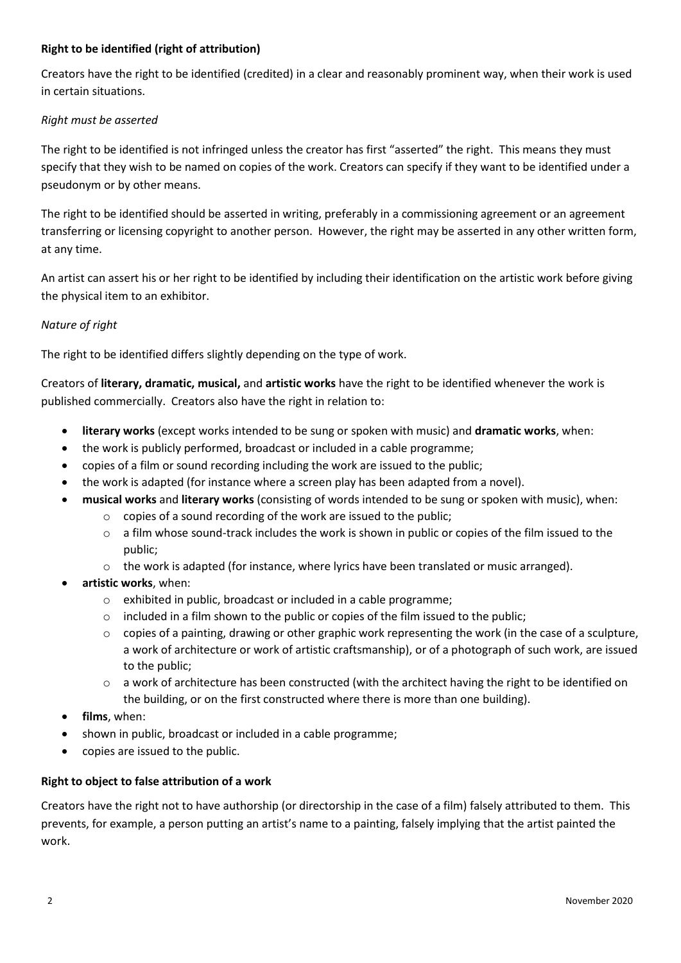## **Right to be identified (right of attribution)**

Creators have the right to be identified (credited) in a clear and reasonably prominent way, when their work is used in certain situations.

#### *Right must be asserted*

The right to be identified is not infringed unless the creator has first "asserted" the right. This means they must specify that they wish to be named on copies of the work. Creators can specify if they want to be identified under a pseudonym or by other means.

The right to be identified should be asserted in writing, preferably in a commissioning agreement or an agreement transferring or licensing copyright to another person. However, the right may be asserted in any other written form, at any time.

An artist can assert his or her right to be identified by including their identification on the artistic work before giving the physical item to an exhibitor.

# *Nature of right*

The right to be identified differs slightly depending on the type of work.

Creators of **literary, dramatic, musical,** and **artistic works** have the right to be identified whenever the work is published commercially. Creators also have the right in relation to:

- **literary works** (except works intended to be sung or spoken with music) and **dramatic works**, when:
- the work is publicly performed, broadcast or included in a cable programme;
- copies of a film or sound recording including the work are issued to the public;
- the work is adapted (for instance where a screen play has been adapted from a novel).
- **musical works** and **literary works** (consisting of words intended to be sung or spoken with music), when:
	- o copies of a sound recording of the work are issued to the public;
	- $\circ$  a film whose sound-track includes the work is shown in public or copies of the film issued to the public;
	- $\circ$  the work is adapted (for instance, where lyrics have been translated or music arranged).
- **artistic works**, when:
	- o exhibited in public, broadcast or included in a cable programme;
	- o included in a film shown to the public or copies of the film issued to the public;
	- $\circ$  copies of a painting, drawing or other graphic work representing the work (in the case of a sculpture, a work of architecture or work of artistic craftsmanship), or of a photograph of such work, are issued to the public;
	- $\circ$  a work of architecture has been constructed (with the architect having the right to be identified on the building, or on the first constructed where there is more than one building).
- **films**, when:
- shown in public, broadcast or included in a cable programme;
- copies are issued to the public.

#### **Right to object to false attribution of a work**

Creators have the right not to have authorship (or directorship in the case of a film) falsely attributed to them. This prevents, for example, a person putting an artist's name to a painting, falsely implying that the artist painted the work.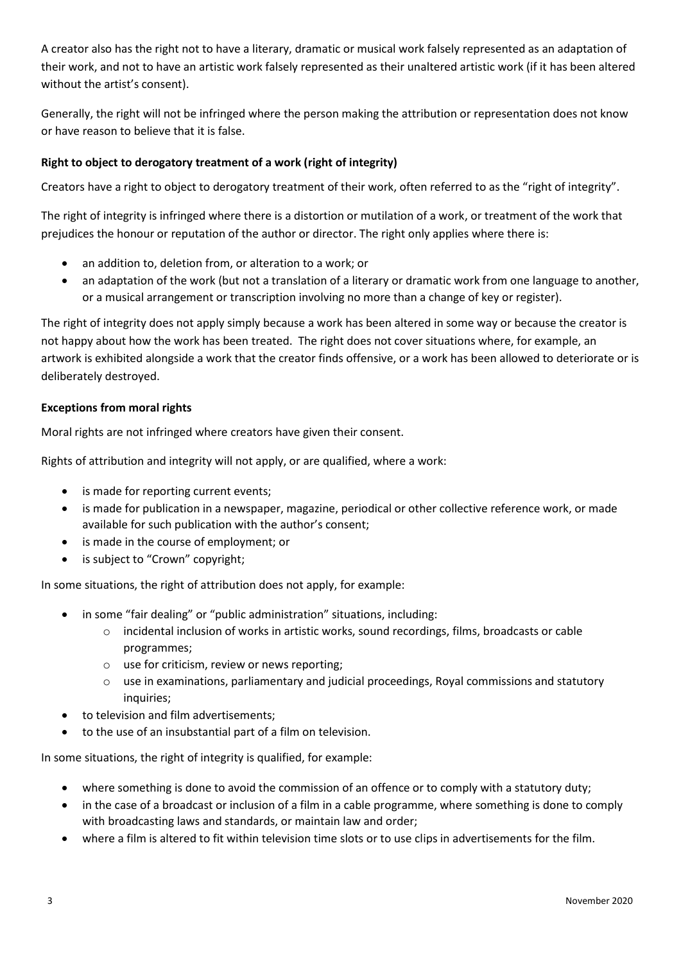A creator also has the right not to have a literary, dramatic or musical work falsely represented as an adaptation of their work, and not to have an artistic work falsely represented as their unaltered artistic work (if it has been altered without the artist's consent).

Generally, the right will not be infringed where the person making the attribution or representation does not know or have reason to believe that it is false.

# **Right to object to derogatory treatment of a work (right of integrity)**

Creators have a right to object to derogatory treatment of their work, often referred to as the "right of integrity".

The right of integrity is infringed where there is a distortion or mutilation of a work, or treatment of the work that prejudices the honour or reputation of the author or director. The right only applies where there is:

- an addition to, deletion from, or alteration to a work; or
- an adaptation of the work (but not a translation of a literary or dramatic work from one language to another, or a musical arrangement or transcription involving no more than a change of key or register).

The right of integrity does not apply simply because a work has been altered in some way or because the creator is not happy about how the work has been treated. The right does not cover situations where, for example, an artwork is exhibited alongside a work that the creator finds offensive, or a work has been allowed to deteriorate or is deliberately destroyed.

### **Exceptions from moral rights**

Moral rights are not infringed where creators have given their consent.

Rights of attribution and integrity will not apply, or are qualified, where a work:

- is made for reporting current events;
- is made for publication in a newspaper, magazine, periodical or other collective reference work, or made available for such publication with the author's consent;
- is made in the course of employment; or
- is subject to "Crown" copyright;

In some situations, the right of attribution does not apply, for example:

- in some "fair dealing" or "public administration" situations, including:
	- $\circ$  incidental inclusion of works in artistic works, sound recordings, films, broadcasts or cable programmes;
	- o use for criticism, review or news reporting;
	- o use in examinations, parliamentary and judicial proceedings, Royal commissions and statutory inquiries;
- to television and film advertisements;
- to the use of an insubstantial part of a film on television.

In some situations, the right of integrity is qualified, for example:

- where something is done to avoid the commission of an offence or to comply with a statutory duty;
- in the case of a broadcast or inclusion of a film in a cable programme, where something is done to comply with broadcasting laws and standards, or maintain law and order;
- where a film is altered to fit within television time slots or to use clips in advertisements for the film.